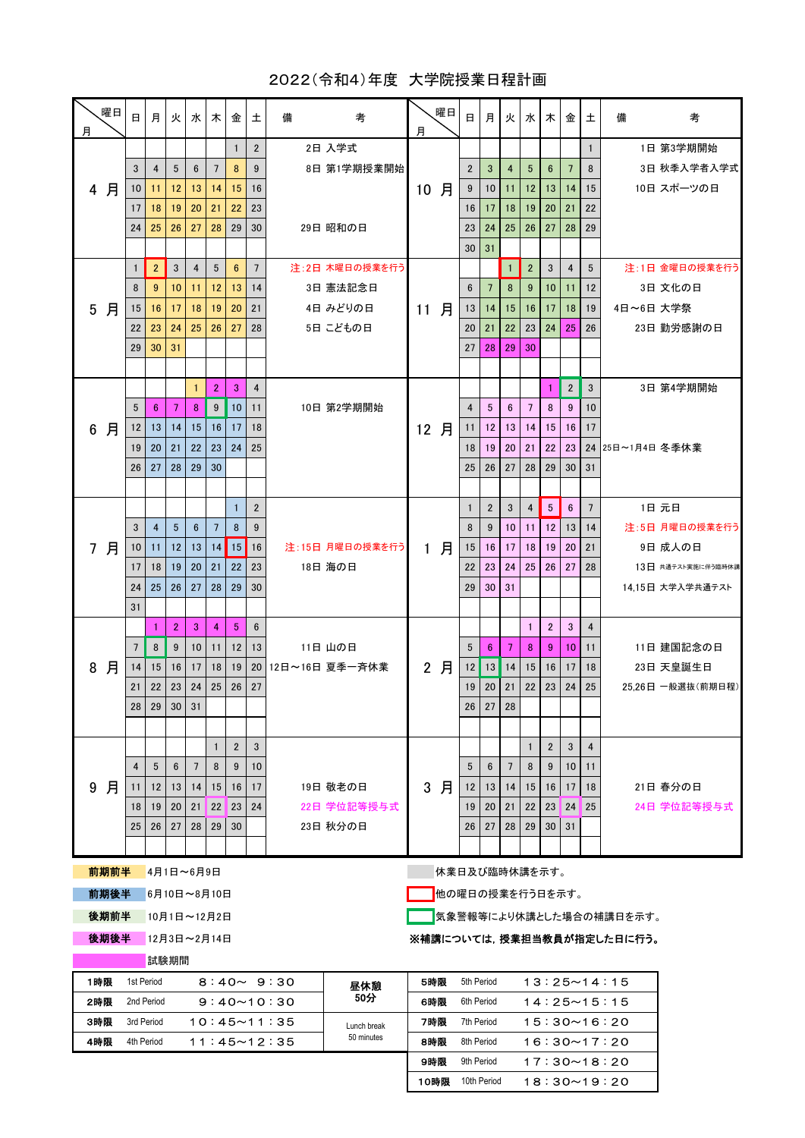## 2022(令和4)年度 大学院授業日程計画

| 月                                                 | 曜日   | 日                                                                                          | 月               | 火               | 水丨              | 木                 | 金                   | 土                                                                           | 備                                | 考                          | 月            | 曜日                      | 日            | 月               | 火              | 水                 | 木                   | 金              | 土                    | 備                | 考                  |
|---------------------------------------------------|------|--------------------------------------------------------------------------------------------|-----------------|-----------------|-----------------|-------------------|---------------------|-----------------------------------------------------------------------------|----------------------------------|----------------------------|--------------|-------------------------|--------------|-----------------|----------------|-------------------|---------------------|----------------|----------------------|------------------|--------------------|
|                                                   |      |                                                                                            |                 |                 |                 |                   | $\mathbf{1}$        | $\overline{2}$                                                              |                                  | 2日 入学式                     |              |                         |              |                 |                |                   |                     |                | $\mathbf{1}$         |                  | 1日 第3学期開始          |
|                                                   |      | 3                                                                                          | 4               | 5               | 6               | $\overline{7}$    | 8                   | 9                                                                           |                                  | 8日 第1学期授業開始                |              |                         | $\mathbf{2}$ | 3               | 4              | 5                 | $6\phantom{1}$      | $\overline{7}$ | 8                    |                  | 3日 秋季入学者入学式        |
|                                                   | 4 月  | 10                                                                                         | 11              | 12              | 13              | 14                | 15                  | 16                                                                          |                                  |                            | 10           | 月                       | 9            | 10              | 11             | 12 <sup>2</sup>   | 13                  | 14             | 15                   |                  | 10日 スポーツの日         |
|                                                   |      | 17                                                                                         | 18              | 19              | 20              | 21                | 22                  | 23                                                                          |                                  |                            |              |                         | 16           | 17              | 18             | 19                | 20                  | 21             | 22                   |                  |                    |
|                                                   |      | 24                                                                                         | 25              | 26              | 27              | 28                | 29                  | 30                                                                          |                                  | 29日 昭和の日                   |              |                         | 23           | 24              | 25             | 26                | 27                  | 28             | 29                   |                  |                    |
|                                                   |      |                                                                                            |                 |                 |                 |                   |                     |                                                                             |                                  |                            |              |                         | 30           | 31              |                |                   |                     |                |                      |                  |                    |
| 5                                                 | 月    | 1                                                                                          | $\overline{2}$  | $\mathbf{3}$    | $\overline{4}$  | 5                 | $6\phantom{1}$      | $7\overline{ }$                                                             |                                  | 注:2日 木曜日の授業を行う             |              |                         |              |                 | $\overline{1}$ | $\mathbf{2}$      | 3                   | 4              | $5\phantom{.0}$      |                  | 注:1日 金曜日の授業を行う     |
|                                                   |      | 8                                                                                          | 9               | 10              | 11              | $12 \overline{ }$ | 13                  | 14                                                                          |                                  | 3日 憲法記念日                   |              |                         | 6            | $\overline{7}$  | 8              | 9                 | 10                  | 11             | 12                   |                  | 3日 文化の日            |
|                                                   |      | 15                                                                                         | 16              | 17              | 18              | 19                | 20                  | 21                                                                          |                                  | 4日 みどりの日                   | 11 月         |                         | 13           | 14              | 15             | 16                | 17                  | 18             | 19                   | 4日~6日 大学祭        |                    |
|                                                   |      | 22                                                                                         | 23              | 24              | 25              | 26                | 27                  | 28                                                                          |                                  | 5日 こどもの日                   |              |                         | 20           | 21              | 22             | 23                | 24                  | 25             | 26                   |                  | 23日 勤労感謝の日         |
|                                                   |      | 29                                                                                         | 30              | 31              |                 |                   |                     |                                                                             |                                  |                            |              |                         | 27           | 28              | 29             | 30                |                     |                |                      |                  |                    |
|                                                   |      |                                                                                            |                 |                 | 1               | $\overline{2}$    | 3                   |                                                                             |                                  |                            |              |                         |              |                 |                |                   | 1                   | $\overline{2}$ | 3                    |                  | 3日 第4学期開始          |
|                                                   |      | 5                                                                                          | 6               | 7               | 8               | 9                 | 10                  |                                                                             | $\overline{4}$<br>11<br>18<br>25 | 10日 第2学期開始                 | 12 月         |                         | 4            | $5\phantom{.0}$ | 6              | $7\overline{ }$   | 8                   | 9              | 10                   |                  |                    |
| 6                                                 | 月    | 12                                                                                         | 13              | 14              | 15              | 16                | 17                  |                                                                             |                                  |                            |              |                         | 11           | 12              | 13             | 14                | 15                  | 16             | 17                   |                  |                    |
|                                                   |      | 19                                                                                         | 20              | 21              | 22              | 23                | 24                  |                                                                             |                                  |                            |              |                         | 18           | 19              | 20             | 21                | 22                  | 23             |                      | 24 25日~1月4日 冬季休業 |                    |
|                                                   |      | 26                                                                                         | 27              | 28              | 29              | 30                |                     |                                                                             |                                  |                            |              |                         | 25           | 26              | 27             | 28                | 29                  | 30             | 31                   |                  |                    |
|                                                   |      |                                                                                            |                 |                 |                 |                   |                     |                                                                             |                                  |                            |              |                         |              |                 |                |                   |                     |                |                      |                  |                    |
|                                                   | 7 月  |                                                                                            |                 |                 |                 |                   | $\mathbf{1}$        | $\mathbf{2}$                                                                |                                  | 注:15日 月曜日の授業を行う<br>18日 海の日 | $\mathbf{1}$ |                         | $\mathbf{1}$ | $\mathbf{2}$    | 3              | 4                 | $5\phantom{.0}$     | 6              | $7\overline{ }$      |                  | 1日 元日              |
|                                                   |      | 3                                                                                          | $\overline{4}$  | $5\phantom{.0}$ | $6\phantom{1}$  | $7\overline{ }$   | 8                   | 9                                                                           |                                  |                            |              | 月                       | 8            | 9               | 10             | 11                | 12                  | 13             | 14                   |                  | 注:5日 月曜日の授業を行う     |
|                                                   |      | 10                                                                                         | 11              | 12              | 13              | 14                | 15                  | 16                                                                          |                                  |                            |              |                         | 15           | 16              | 17             | 18                | 19                  | 20             | 21                   |                  | 9日 成人の日            |
|                                                   |      | 17                                                                                         | 18              | 19              | 20              | 21                | 22                  | 23                                                                          |                                  |                            |              |                         | 22           | 23              | 24             | 25                | 26                  | 27             | 28                   |                  | 13日 共通テスト実施に伴う臨時休講 |
|                                                   |      | 24                                                                                         | 25              | 26              | 27              | 28                | 29                  | 30                                                                          |                                  |                            |              |                         | 29           | 30              | 31             |                   |                     |                |                      |                  | 14.15日 大学入学共通テスト   |
|                                                   |      | 31                                                                                         |                 |                 |                 |                   |                     |                                                                             |                                  |                            |              |                         |              |                 |                |                   |                     |                |                      |                  |                    |
| 8                                                 | 月    |                                                                                            | $\mathbf{1}$    | $\overline{2}$  | 3               | $\overline{4}$    | $5\phantom{.0}$     | $6\phantom{1}$                                                              |                                  |                            |              |                         |              |                 |                | $\mathbf{1}$      | $\overline{2}$      | 3              | $\overline{4}$       |                  |                    |
|                                                   |      | $\overline{7}$                                                                             | 8               | 9               | 10              | 11                | 12                  | 13                                                                          |                                  | 11日 山の日                    |              |                         | 5            | $6\phantom{1}$  | 7              | 8                 | 9                   | 10             | 11                   |                  | 11日 建国記念の日         |
|                                                   |      | 14                                                                                         | 15              | 16              | 17              | 18                | 19                  | 20                                                                          | 12日~16日 夏季一斉休業                   |                            |              | 2 月                     | 12           | 13              | 14             | 15                | 16                  | 17             | 18                   |                  | 23日 天皇誕生日          |
|                                                   |      | 21                                                                                         | 22              | 23              | 24              | 25                | 26                  | 27                                                                          |                                  |                            |              |                         | 19           | 20              | 21             | 22                | 23                  | 24             | 25                   |                  | 25,26日 一般選抜(前期日程)  |
|                                                   |      | 28                                                                                         | 29              | 30              | 31              |                   |                     |                                                                             |                                  |                            |              |                         |              | $26$ 27         | 28             |                   |                     |                |                      |                  |                    |
|                                                   |      |                                                                                            |                 |                 |                 |                   |                     |                                                                             |                                  |                            |              |                         |              |                 |                |                   |                     |                |                      |                  |                    |
|                                                   | 月    | 4                                                                                          | 5               | 6               | $7\phantom{.0}$ | $\mathbf{1}$<br>8 | $\overline{2}$<br>9 | 3<br>10                                                                     |                                  |                            |              |                         | 5            | 6               | 7              | $\mathbf{1}$<br>8 | $\overline{2}$<br>9 | 3<br>10        | $\overline{4}$<br>11 |                  |                    |
| 9                                                 |      | 11                                                                                         | 12 <sup>2</sup> | 13              | 14              | 15                | 16                  | 17                                                                          |                                  | 19日 敬老の日                   | 3            | 月                       | 12           | 13              | 14             | 15 <sup>1</sup>   | 16                  | 17             | 18                   |                  | 21日 春分の日           |
|                                                   |      | 18                                                                                         | 19              | 20              |                 | 21 22 23          |                     | 24                                                                          |                                  | 22日 学位記等授与式                |              |                         | 19           | 20              | 21             | 22                | 23 <sup>1</sup>     | 24             | $\blacksquare$ 25    |                  | 24日 学位記等授与式        |
|                                                   |      | 25                                                                                         | 26              | 27              | 28              | 29                | 30                  |                                                                             |                                  | 23日 秋分の日                   |              |                         | 26           | 27              | 28             | 29                | 30                  | 31             |                      |                  |                    |
|                                                   |      |                                                                                            |                 |                 |                 |                   |                     |                                                                             |                                  |                            |              |                         |              |                 |                |                   |                     |                |                      |                  |                    |
|                                                   | 前期前半 |                                                                                            | 4月1日~6月9日       |                 |                 |                   |                     |                                                                             |                                  |                            |              | 休業日及び臨時休講を示す。           |              |                 |                |                   |                     |                |                      |                  |                    |
|                                                   |      |                                                                                            |                 |                 |                 |                   |                     |                                                                             |                                  |                            |              |                         |              |                 |                |                   |                     |                |                      |                  |                    |
| 前期後半<br>化の曜日の授業を行う日を示す。<br>6月10日~8月10日<br>後期前半    |      |                                                                                            |                 |                 |                 |                   |                     |                                                                             |                                  |                            |              |                         |              |                 |                |                   |                     |                |                      |                  |                    |
|                                                   |      |                                                                                            | 10月1日~12月2日     |                 |                 |                   |                     |                                                                             |                                  |                            |              | 気象警報等により休講とした場合の補講日を示す。 |              |                 |                |                   |                     |                |                      |                  |                    |
| 後期後半<br>12月3日~2月14日<br>※補講については, 授業担当教員が指定した日に行う。 |      |                                                                                            |                 |                 |                 |                   |                     |                                                                             |                                  |                            |              |                         |              |                 |                |                   |                     |                |                      |                  |                    |
|                                                   |      | 試験期間                                                                                       |                 |                 |                 |                   |                     |                                                                             |                                  |                            |              |                         |              |                 |                |                   |                     |                |                      |                  |                    |
| 1時限                                               |      | 1st Period<br>$8:40 \sim 9:30$<br>昼休憩<br>50分                                               |                 |                 |                 |                   |                     | 5時限<br>5th Period<br>$13:25 \sim 14:15$                                     |                                  |                            |              |                         |              |                 |                |                   |                     |                |                      |                  |                    |
| 2時限                                               |      | 2nd Period<br>$9:40 \sim 10:30$                                                            |                 |                 |                 |                   |                     | 6時限<br>6th Period<br>$14:25 \sim 15:15$<br>7時限<br>7th Period<br>15:30~16:20 |                                  |                            |              |                         |              |                 |                |                   |                     |                |                      |                  |                    |
| 3時限<br>4時限                                        |      | 3rd Period<br>$10:45 \sim 11:35$<br>Lunch break<br>50 minutes<br>4th Period<br>11:45~12:35 |                 |                 |                 |                   |                     |                                                                             | 8th Period<br>16:30~17:20<br>8時限 |                            |              |                         |              |                 |                |                   |                     |                |                      |                  |                    |
|                                                   |      |                                                                                            |                 |                 |                 |                   |                     |                                                                             |                                  |                            |              |                         |              |                 |                |                   |                     |                |                      |                  |                    |
|                                                   |      |                                                                                            |                 |                 |                 |                   |                     |                                                                             |                                  |                            | 9時限          |                         | 9th Period   |                 |                |                   |                     |                |                      | 17:30~18:20      |                    |

10時限 10th Period 18:30~19:20